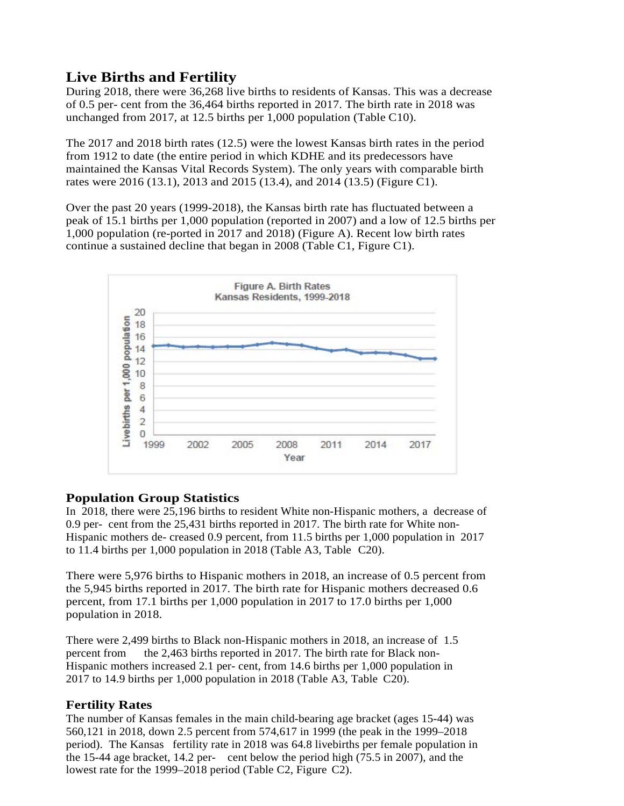# **Live Births and Fertility**

During 2018, there were 36,268 live births to residents of Kansas. This was a decrease of 0.5 per- cent from the 36,464 births reported in 2017. The birth rate in 2018 was unchanged from 2017, at 12.5 births per 1,000 population (Table C10).

The 2017 and 2018 birth rates (12.5) were the lowest Kansas birth rates in the period from 1912 to date (the entire period in which KDHE and its predecessors have maintained the Kansas Vital Records System). The only years with comparable birth rates were 2016 (13.1), 2013 and 2015 (13.4), and 2014 (13.5) (Figure C1).

Over the past 20 years (1999-2018), the Kansas birth rate has fluctuated between a peak of 15.1 births per 1,000 population (reported in 2007) and a low of 12.5 births per 1,000 population (re-ported in 2017 and 2018) (Figure A). Recent low birth rates continue a sustained decline that began in 2008 (Table C1, Figure C1).



## **Population Group Statistics**

In 2018, there were 25,196 births to resident White non-Hispanic mothers, a decrease of 0.9 per- cent from the 25,431 births reported in 2017. The birth rate for White non-Hispanic mothers de- creased 0.9 percent, from 11.5 births per 1,000 population in 2017 to 11.4 births per 1,000 population in 2018 (Table A3, Table C20).

There were 5,976 births to Hispanic mothers in 2018, an increase of 0.5 percent from the 5,945 births reported in 2017. The birth rate for Hispanic mothers decreased 0.6 percent, from 17.1 births per 1,000 population in 2017 to 17.0 births per 1,000 population in 2018.

There were 2,499 births to Black non-Hispanic mothers in 2018, an increase of 1.5 percent from the 2,463 births reported in 2017. The birth rate for Black non-Hispanic mothers increased 2.1 per- cent, from 14.6 births per 1,000 population in 2017 to 14.9 births per 1,000 population in 2018 (Table A3, Table C20).

## **Fertility Rates**

The number of Kansas females in the main child-bearing age bracket (ages 15-44) was 560,121 in 2018, down 2.5 percent from 574,617 in 1999 (the peak in the 1999–2018 period). The Kansas fertility rate in 2018 was 64.8 livebirths per female population in the 15-44 age bracket, 14.2 per- cent below the period high  $(75.5 \text{ in } 2007)$ , and the lowest rate for the 1999–2018 period (Table C2, Figure C2).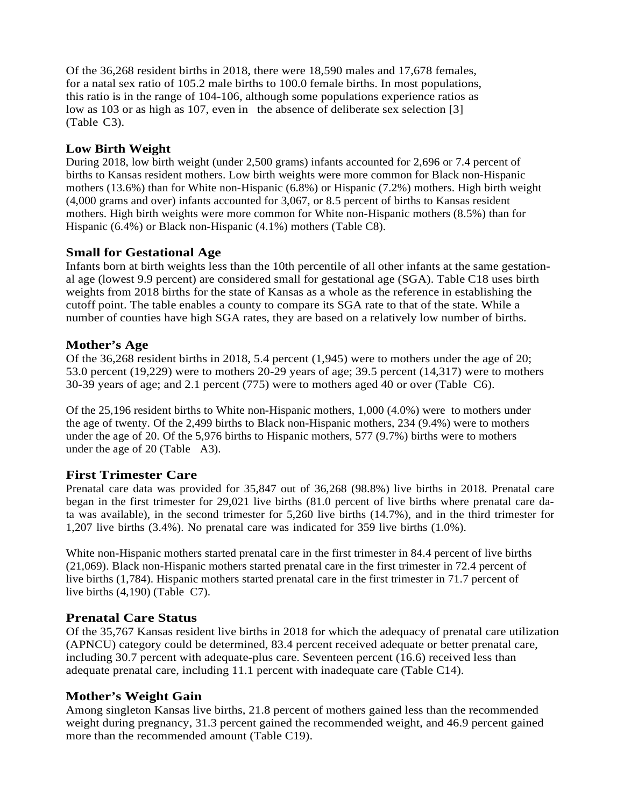Of the 36,268 resident births in 2018, there were 18,590 males and 17,678 females, for a natal sex ratio of 105.2 male births to 100.0 female births. In most populations, this ratio is in the range of 104-106, although some populations experience ratios as low as 103 or as high as 107, even in the absence of deliberate sex selection [3] (Table C3).

## **Low Birth Weight**

During 2018, low birth weight (under 2,500 grams) infants accounted for 2,696 or 7.4 percent of births to Kansas resident mothers. Low birth weights were more common for Black non-Hispanic mothers (13.6%) than for White non-Hispanic (6.8%) or Hispanic (7.2%) mothers. High birth weight (4,000 grams and over) infants accounted for 3,067, or 8.5 percent of births to Kansas resident mothers. High birth weights were more common for White non-Hispanic mothers (8.5%) than for Hispanic (6.4%) or Black non-Hispanic (4.1%) mothers (Table C8).

## **Small for Gestational Age**

Infants born at birth weights less than the 10th percentile of all other infants at the same gestational age (lowest 9.9 percent) are considered small for gestational age (SGA). Table C18 uses birth weights from 2018 births for the state of Kansas as a whole as the reference in establishing the cutoff point. The table enables a county to compare its SGA rate to that of the state. While a number of counties have high SGA rates, they are based on a relatively low number of births.

## **Mother's Age**

Of the 36,268 resident births in 2018, 5.4 percent (1,945) were to mothers under the age of 20; 53.0 percent (19,229) were to mothers 20-29 years of age; 39.5 percent (14,317) were to mothers 30-39 years of age; and 2.1 percent (775) were to mothers aged 40 or over (Table C6).

Of the 25,196 resident births to White non-Hispanic mothers, 1,000 (4.0%) were to mothers under the age of twenty. Of the 2,499 births to Black non-Hispanic mothers, 234 (9.4%) were to mothers under the age of 20. Of the 5,976 births to Hispanic mothers, 577 (9.7%) births were to mothers under the age of 20 (Table A3).

# **First Trimester Care**

Prenatal care data was provided for 35,847 out of 36,268 (98.8%) live births in 2018. Prenatal care began in the first trimester for 29,021 live births (81.0 percent of live births where prenatal care data was available), in the second trimester for 5,260 live births (14.7%), and in the third trimester for 1,207 live births (3.4%). No prenatal care was indicated for 359 live births (1.0%).

White non-Hispanic mothers started prenatal care in the first trimester in 84.4 percent of live births (21,069). Black non-Hispanic mothers started prenatal care in the first trimester in 72.4 percent of live births (1,784). Hispanic mothers started prenatal care in the first trimester in 71.7 percent of live births (4,190) (Table C7).

# **Prenatal Care Status**

Of the 35,767 Kansas resident live births in 2018 for which the adequacy of prenatal care utilization (APNCU) category could be determined, 83.4 percent received adequate or better prenatal care, including 30.7 percent with adequate-plus care. Seventeen percent (16.6) received less than adequate prenatal care, including 11.1 percent with inadequate care (Table C14).

## **Mother's Weight Gain**

Among singleton Kansas live births, 21.8 percent of mothers gained less than the recommended weight during pregnancy, 31.3 percent gained the recommended weight, and 46.9 percent gained more than the recommended amount (Table C19).